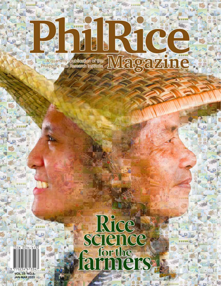### Magazine A quarterly publication of the

D

**Card** 

è

E

**A M SE SATA** 

 $n_{\rm F}$ 



**VOL. 33 NO. 1 JAN-MAR 2020**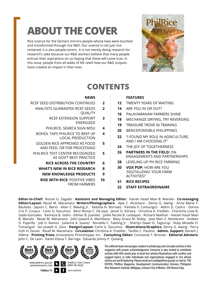# **ABOUT THE COVER**

Rice science for the farmers mirrors people whose lives were touched and transformed through rice R&D. Our science is not just ricecentered, it is also people-centric. It is not merely doing research for research's sake because our R&D workers believe that many people entrust their aspirations on us hoping that these will come true. In this issue, people from all walks of life retell how our R&D outputs have created an impact in their lives.



### **CONTENTS**

**3**

**5**

#### **NEWS**

- RCEF SEED DISTRIBUTION CONTINUES **2**
	- ANALYSTS GUARANTEE RCEF SEEDS QUALITY **2**
		- RCEF EXTENSION SUPPORT ENERGIZED
		- PHILRICE, SEARCA SIGN MOU **4**
	- BOHOL TAPS PHILRICE TO BEEF UP LOCAL PRODUCTION **4**
	- GOLDEN RICE APPROVED AS FOOD AND FEED, OR FOR PROCESSING
	- PHILRICE TEXT CENTER RECOGNIZED AS GOV'T BEST PRACTICE **5**
		- **RICE ACROSS THE COUNTRY 6**
		- **WHAT'S NEW IN RICE RESEARCH 8**
			- **NEW KNOWLEDGE PRODUCTS 9**
		- **RISE WITH RICE:** POSITIVE VIBES FROM FARMERS **10**

### **FEATURES**

- **12** TWENTY YEARS OF WAITING **14** ARE YOU IN OR OUT?
- **16** PALAYAMANAN FARMERS SHINE
- 
- **18** MECHANIZE DRYING, TRY REVERSING
- **19** TREASURE TROVE IN TRAINING
- **20** BERICEPONSIBLE PHILIPPINES
- **22** ''I FOUND MY ROLE IN AGRICULTURE, AND I AM CHOOSING IT"
- **24** THE JOY OF TOGETHERNESS
- **26 PARTNERS IN THE FIELD:** ON ENGAGEMENTS AND PARTNERSHIPS
- **28** LEVELING UP PH RICE FARMING
- **30 VOX POP:** HOW ARE YOU 'DIGITALIZING' YOUR FARM ACTIVITIES?
- **31 RICE RECIPES**
- **32 STAFF EXTRAORDINAIRE**

**Editor-in-Chief:** Ronan G. Zagado · **Assistant and Managing Editor:** Hanah Hazel Mavi B. Manalo · **Co-managing Editor/Layout:** Reuel M. Maramara· **Writers/Photographers:** Ajea C. Alcantara · Zenny G. Awing · Anna Marie F. Bautista · Jayson C. Berto · Allan C. Biwang Jr. · Keesha N. Bornaes · Pamela V. Carbungco · Aldrin G. Castro · Donna Cris P. Corpuz · Carlo G. Dacumos · Renz Romyl C. De Joya · Jesrel O. Edraira · Christina A. Frediles · Charisma Love B. Gado-Gonzales · Vanneza B. Isidro · Edmar B. Juanitez · Joillie Nicole B. Lacbayan · Richard Malihan · Hanah Hazel Mavi B. Manalo · Reuel M. Maramara · John Joward A. Martillana · Mary Grace M. Nidoy · Jose Mari Z. Nombrere · Anileen O. Pajarillo · Job U. Ramos · Julianne A. Suarez · Ronaldo C. Tabiling Jr. · Sherlyn Dawn D. Taglucop · Ruby Moselle O. Tumanguil · Ian Joseph G. Zara · **Design/Layout:** Carlo G. Dacumos · **Illustrations/Graphics:** Zenny G. Awing · Perry Irish H. Duran · Reuel M. Maramara · **Circulation:** Christina A. Frediles · Teofilo C. Paulino · **Admin. Support:** Derwin J. Villena · **Printing Press:** Innovations Printshoppe, Inc. · **Consulting Editor:** Constante T. Briones · **Editorial Advisers:** John C. De Leon · Karen Eloisa T. Barroga · Eduardo Jimmy P. Quilang



The editorial team encourages readers to photocopy and circulate articles in this magazine with proper acknowledgment. Everyone is also invited to contribute articles (600-800 words plus at least four photos/illustrations with credits) and suggest topics, or refer individuals and organizations engaged in rice whose stories are worth featuring. Please email prri.mail@philrice.gov.ph or mail to: THE EDITOR, PhilRice Magazine, Development Communication Division, Philippine Rice Research Institute, Maligaya, Science City of Muñoz, 3119 Nueva Ecija.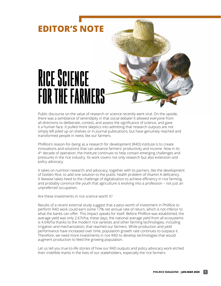

Public discourse on the value of research or science recently went viral. On the upside, there was a semblance of serendipity in that social debate! It allowed everyone from all directions to deliberate, contest, and assess the significance of science, and gave it a human face. It pulled more skeptics into admitting that research outputs are not simply left piled up on shelves or in journal publications, but have genuinely reached and transformed people in need, like our farmers.

PhilRice's reason-for-being as a research for development (R4D) institute is to create innovations and solutions that can advance farmers' productivity and income. Now in its 4<sup>th</sup> decade of operation, the Institute continues to help contain emerging challenges and pressures in the rice industry. Its work covers not only research but also extension and policy advocacy.

It takes on nutrition research and advocacy, together with its parners, like the development of Golden Rice, to add one solution to the public health problem of Vitamin A deficiency. It likewise takes heed to the challenge of digitalization to achieve efficiency in rice farming, and probably convince the youth that agriculture is evolving into a profession – not just an unpreferred occupation.

Are these investments in rice science worth it?

Results of a recent external study suggest that a peso worth of investment in PhilRice to perform R4D work could earn some 17% net annual rate of return, which is not inferior to what the banks can offer. This impact speaks for itself. Before PhilRice was established, the average yield was only 2.67t/ha; these days, the national average yield from all ecosystems is 4.04t/ha thanks to the modern rice varieties and other farming technologies, including irrigation and mechanization, that reached our farmers. While production and yield performance have increased over time, population growth rate continues to outpace it. Therefore, we need more investments in rice R4D to develop technologies that would augment production to feed the growing population.

Let us tell you true-to-life stories of how our R4D outputs and policy advocacy work etched their indelible marks in the lives of our stakeholders, especially the rice farmers.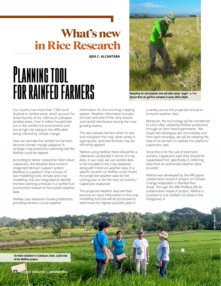## What's new in Rice Research

**AJEA C. ALCANTARA**

# **Planning tool for rainfed farmers**

Our country has more than 7.5M ha of dryland or rainfed areas, which account for three-fourths of the 10M ha of cultivated (arable) areas. Over 5 million households are in the rainfed rice environment and are at high risk owing to the difficulties being inflicted by climate change.

How can we help the rainfed rice farmers become climate change-adaptive? A strategic crop production planning tool like WeRise could be tapped.

According to senior researcher Ailon Oliver Capistrano, the Weather-Rice-nutrient integrated decision support system (WeRise) is a platform that consists of two modelling tools–climate and cropmodelling–that are integrated to identify the best planting schedule in a rainfed rice environment based on forecasted weather data.

WeRise uses seasonal climate predictions providing farmers crucial weather

information for the incoming cropping season. Weather information includes the start and end of the rainy season and rainfall distribution during the cropgrowing season.

This also advises farmers when to sow and transplant the crop, what variety is appropriate, and how fertilizer may be efficiently applied.

"Before using WeRise, there should be a calibration conducted in terms of crop data. In our case, we use varietal data to be included in the crop database along with historical weather data of a specific location so WeRise could model the projected weather data for the coming year or for the next six months," Capistrano explained.

The projected weather data will then become an input information in the cropmodelling tool and will be processed to determine the highest possible yield of

a variety across the projected annual or 6-month weather data.

Moreover, the technology will be transferred to LGUs after validating WeRise predictions through on-farm field experiments. "We target two barangays per municipality and from each barangay, we will be needing the help of six farmers to validate the platform," Capistrano said.

Since this is for the use of extension workers, Capistrano said, they should be capacitated first, specifically in collecting data from an authorized weather data provider.

WeRise was developed by the IRRI-Japan collaborative research project on Climate Change Adaptation in Rainfed Rice Areas. Through the IRRI-PhilRice-JIRCAS collaborative research project, WeRise is localized to suit rainfed rice areas in the Philippines. **•**

**JOB U. RAMOS**



**On-field validation in Cabatuan, Iloilo, a pilot site of the WeRise project.**